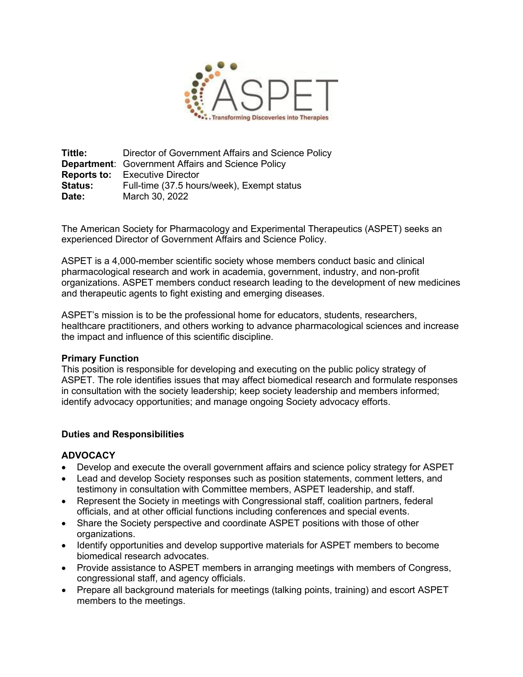

**Tittle:** Director of Government Affairs and Science Policy **Department**: Government Affairs and Science Policy **Reports to:** Executive Director **Status:** Full-time (37.5 hours/week), Exempt status **Date:** March 30, 2022

The American Society for Pharmacology and Experimental Therapeutics (ASPET) seeks an experienced Director of Government Affairs and Science Policy.

ASPET is a 4,000-member scientific society whose members conduct basic and clinical pharmacological research and work in academia, government, industry, and non-profit organizations. ASPET members conduct research leading to the development of new medicines and therapeutic agents to fight existing and emerging diseases.

ASPET's mission is to be the professional home for educators, students, researchers, healthcare practitioners, and others working to advance pharmacological sciences and increase the impact and influence of this scientific discipline.

#### **Primary Function**

This position is responsible for developing and executing on the public policy strategy of ASPET. The role identifies issues that may affect biomedical research and formulate responses in consultation with the society leadership; keep society leadership and members informed; identify advocacy opportunities; and manage ongoing Society advocacy efforts.

### **Duties and Responsibilities**

### **ADVOCACY**

- Develop and execute the overall government affairs and science policy strategy for ASPET
- Lead and develop Society responses such as position statements, comment letters, and testimony in consultation with Committee members, ASPET leadership, and staff.
- Represent the Society in meetings with Congressional staff, coalition partners, federal officials, and at other official functions including conferences and special events.
- Share the Society perspective and coordinate ASPET positions with those of other organizations.
- Identify opportunities and develop supportive materials for ASPET members to become biomedical research advocates.
- Provide assistance to ASPET members in arranging meetings with members of Congress, congressional staff, and agency officials.
- Prepare all background materials for meetings (talking points, training) and escort ASPET members to the meetings.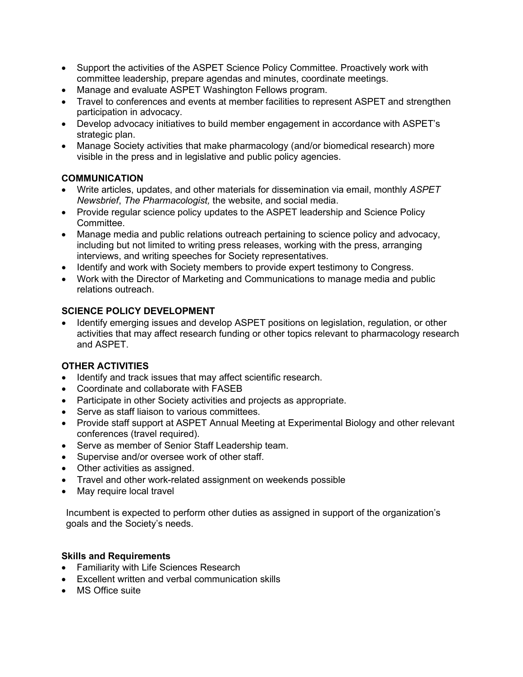- Support the activities of the ASPET Science Policy Committee. Proactively work with committee leadership, prepare agendas and minutes, coordinate meetings.
- Manage and evaluate ASPET Washington Fellows program.
- Travel to conferences and events at member facilities to represent ASPET and strengthen participation in advocacy.
- Develop advocacy initiatives to build member engagement in accordance with ASPET's strategic plan.
- Manage Society activities that make pharmacology (and/or biomedical research) more visible in the press and in legislative and public policy agencies.

# **COMMUNICATION**

- Write articles, updates, and other materials for dissemination via email, monthly *ASPET Newsbrief*, *The Pharmacologist,* the website, and social media.
- Provide regular science policy updates to the ASPET leadership and Science Policy Committee.
- Manage media and public relations outreach pertaining to science policy and advocacy, including but not limited to writing press releases, working with the press, arranging interviews, and writing speeches for Society representatives.
- Identify and work with Society members to provide expert testimony to Congress.
- Work with the Director of Marketing and Communications to manage media and public relations outreach.

## **SCIENCE POLICY DEVELOPMENT**

• Identify emerging issues and develop ASPET positions on legislation, regulation, or other activities that may affect research funding or other topics relevant to pharmacology research and ASPET.

# **OTHER ACTIVITIES**

- Identify and track issues that may affect scientific research.
- Coordinate and collaborate with FASEB
- Participate in other Society activities and projects as appropriate.
- Serve as staff liaison to various committees.
- Provide staff support at ASPET Annual Meeting at Experimental Biology and other relevant conferences (travel required).
- Serve as member of Senior Staff Leadership team.
- Supervise and/or oversee work of other staff.
- Other activities as assigned.
- Travel and other work-related assignment on weekends possible
- May require local travel

Incumbent is expected to perform other duties as assigned in support of the organization's goals and the Society's needs.

### **Skills and Requirements**

- Familiarity with Life Sciences Research
- Excellent written and verbal communication skills
- MS Office suite